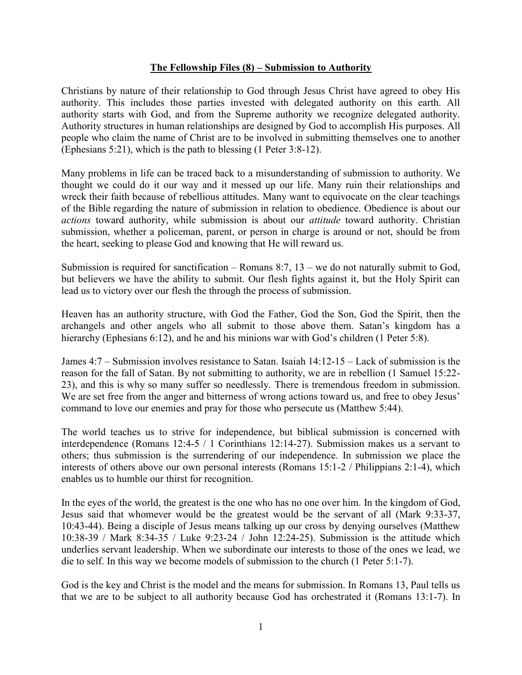## **The Fellowship Files (8) – Submission to Authority**

Christians by nature of their relationship to God through Jesus Christ have agreed to obey His authority. This includes those parties invested with delegated authority on this earth. All authority starts with God, and from the Supreme authority we recognize delegated authority. Authority structures in human relationships are designed by God to accomplish His purposes. All people who claim the name of Christ are to be involved in submitting themselves one to another (Ephesians 5:21), which is the path to blessing (1 Peter 3:8-12).

Many problems in life can be traced back to a misunderstanding of submission to authority. We thought we could do it our way and it messed up our life. Many ruin their relationships and wreck their faith because of rebellious attitudes. Many want to equivocate on the clear teachings of the Bible regarding the nature of submission in relation to obedience. Obedience is about our *actions* toward authority, while submission is about our *attitude* toward authority. Christian submission, whether a policeman, parent, or person in charge is around or not, should be from the heart, seeking to please God and knowing that He will reward us.

Submission is required for sanctification – Romans 8:7,  $13$  – we do not naturally submit to God, but believers we have the ability to submit. Our flesh fights against it, but the Holy Spirit can lead us to victory over our flesh the through the process of submission.

Heaven has an authority structure, with God the Father, God the Son, God the Spirit, then the archangels and other angels who all submit to those above them. Satan's kingdom has a hierarchy (Ephesians 6:12), and he and his minions war with God's children (1 Peter 5:8).

James 4:7 – Submission involves resistance to Satan. Isaiah 14:12-15 – Lack of submission is the reason for the fall of Satan. By not submitting to authority, we are in rebellion (1 Samuel 15:22- 23), and this is why so many suffer so needlessly. There is tremendous freedom in submission. We are set free from the anger and bitterness of wrong actions toward us, and free to obey Jesus' command to love our enemies and pray for those who persecute us (Matthew 5:44).

The world teaches us to strive for independence, but biblical submission is concerned with interdependence (Romans 12:4-5 / 1 Corinthians 12:14-27). Submission makes us a servant to others; thus submission is the surrendering of our independence. In submission we place the interests of others above our own personal interests (Romans 15:1-2 / Philippians 2:1-4), which enables us to humble our thirst for recognition.

In the eyes of the world, the greatest is the one who has no one over him. In the kingdom of God, Jesus said that whomever would be the greatest would be the servant of all (Mark 9:33-37, 10:43-44). Being a disciple of Jesus means talking up our cross by denying ourselves (Matthew 10:38-39 / Mark 8:34-35 / Luke 9:23-24 / John 12:24-25). Submission is the attitude which underlies servant leadership. When we subordinate our interests to those of the ones we lead, we die to self. In this way we become models of submission to the church (1 Peter 5:1-7).

God is the key and Christ is the model and the means for submission. In Romans 13, Paul tells us that we are to be subject to all authority because God has orchestrated it (Romans 13:1-7). In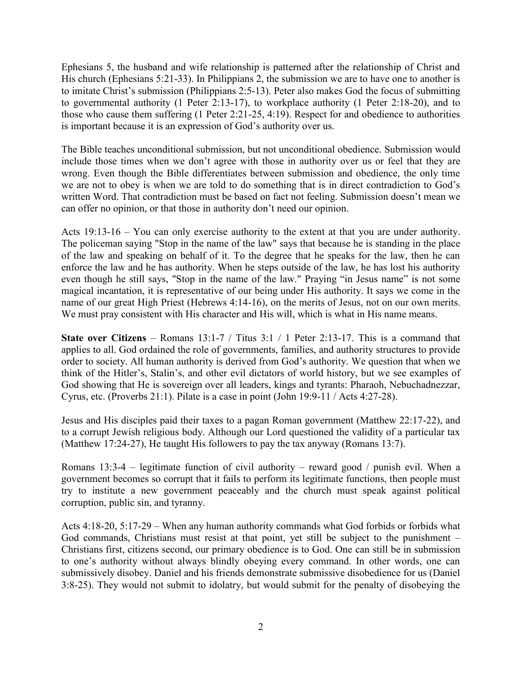Ephesians 5, the husband and wife relationship is patterned after the relationship of Christ and His church (Ephesians 5:21-33). In Philippians 2, the submission we are to have one to another is to imitate Christ's submission (Philippians 2:5-13). Peter also makes God the focus of submitting to governmental authority (1 Peter 2:13-17), to workplace authority (1 Peter 2:18-20), and to those who cause them suffering (1 Peter 2:21-25, 4:19). Respect for and obedience to authorities is important because it is an expression of God's authority over us.

The Bible teaches unconditional submission, but not unconditional obedience. Submission would include those times when we don't agree with those in authority over us or feel that they are wrong. Even though the Bible differentiates between submission and obedience, the only time we are not to obey is when we are told to do something that is in direct contradiction to God's written Word. That contradiction must be based on fact not feeling. Submission doesn't mean we can offer no opinion, or that those in authority don't need our opinion.

Acts 19:13-16 – You can only exercise authority to the extent at that you are under authority. The policeman saying "Stop in the name of the law" says that because he is standing in the place of the law and speaking on behalf of it. To the degree that he speaks for the law, then he can enforce the law and he has authority. When he steps outside of the law, he has lost his authority even though he still says, "Stop in the name of the law." Praying "in Jesus name" is not some magical incantation, it is representative of our being under His authority. It says we come in the name of our great High Priest (Hebrews 4:14-16), on the merits of Jesus, not on our own merits. We must pray consistent with His character and His will, which is what in His name means.

**State over Citizens** – Romans 13:1-7 / Titus 3:1 / 1 Peter 2:13-17. This is a command that applies to all. God ordained the role of governments, families, and authority structures to provide order to society. All human authority is derived from God's authority. We question that when we think of the Hitler's, Stalin's, and other evil dictators of world history, but we see examples of God showing that He is sovereign over all leaders, kings and tyrants: Pharaoh, Nebuchadnezzar, Cyrus, etc. (Proverbs 21:1). Pilate is a case in point (John 19:9-11 / Acts 4:27-28).

Jesus and His disciples paid their taxes to a pagan Roman government (Matthew 22:17-22), and to a corrupt Jewish religious body. Although our Lord questioned the validity of a particular tax (Matthew 17:24-27), He taught His followers to pay the tax anyway (Romans 13:7).

Romans 13:3-4 – legitimate function of civil authority – reward good / punish evil. When a government becomes so corrupt that it fails to perform its legitimate functions, then people must try to institute a new government peaceably and the church must speak against political corruption, public sin, and tyranny.

Acts 4:18-20, 5:17-29 – When any human authority commands what God forbids or forbids what God commands, Christians must resist at that point, yet still be subject to the punishment – Christians first, citizens second, our primary obedience is to God. One can still be in submission to one's authority without always blindly obeying every command. In other words, one can submissively disobey. Daniel and his friends demonstrate submissive disobedience for us (Daniel 3:8-25). They would not submit to idolatry, but would submit for the penalty of disobeying the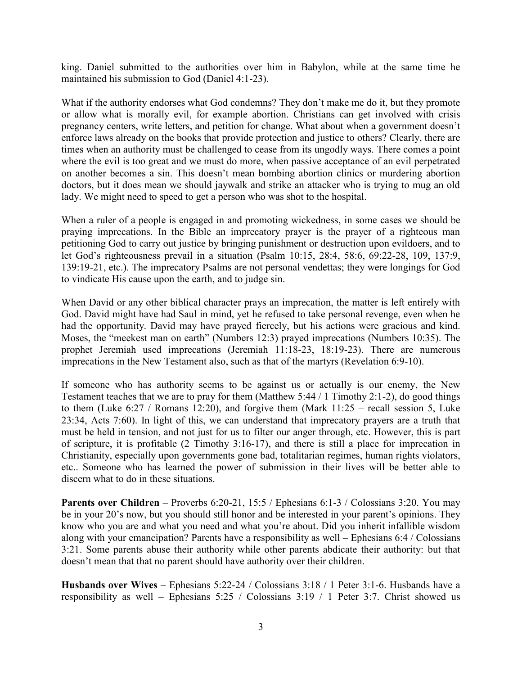king. Daniel submitted to the authorities over him in Babylon, while at the same time he maintained his submission to God (Daniel 4:1-23).

What if the authority endorses what God condemns? They don't make me do it, but they promote or allow what is morally evil, for example abortion. Christians can get involved with crisis pregnancy centers, write letters, and petition for change. What about when a government doesn't enforce laws already on the books that provide protection and justice to others? Clearly, there are times when an authority must be challenged to cease from its ungodly ways. There comes a point where the evil is too great and we must do more, when passive acceptance of an evil perpetrated on another becomes a sin. This doesn't mean bombing abortion clinics or murdering abortion doctors, but it does mean we should jaywalk and strike an attacker who is trying to mug an old lady. We might need to speed to get a person who was shot to the hospital.

When a ruler of a people is engaged in and promoting wickedness, in some cases we should be praying imprecations. In the Bible an imprecatory prayer is the prayer of a righteous man petitioning God to carry out justice by bringing punishment or destruction upon evildoers, and to let God's righteousness prevail in a situation (Psalm 10:15, 28:4, 58:6, 69:22-28, 109, 137:9, 139:19-21, etc.). The imprecatory Psalms are not personal vendettas; they were longings for God to vindicate His cause upon the earth, and to judge sin.

When David or any other biblical character prays an imprecation, the matter is left entirely with God. David might have had Saul in mind, yet he refused to take personal revenge, even when he had the opportunity. David may have prayed fiercely, but his actions were gracious and kind. Moses, the "meekest man on earth" (Numbers 12:3) prayed imprecations (Numbers 10:35). The prophet Jeremiah used imprecations (Jeremiah 11:18-23, 18:19-23). There are numerous imprecations in the New Testament also, such as that of the martyrs (Revelation 6:9-10).

If someone who has authority seems to be against us or actually is our enemy, the New Testament teaches that we are to pray for them (Matthew 5:44 / 1 Timothy 2:1-2), do good things to them (Luke  $6:27 /$  Romans 12:20), and forgive them (Mark  $11:25 -$  recall session 5, Luke 23:34, Acts 7:60). In light of this, we can understand that imprecatory prayers are a truth that must be held in tension, and not just for us to filter our anger through, etc. However, this is part of scripture, it is profitable (2 Timothy 3:16-17), and there is still a place for imprecation in Christianity, especially upon governments gone bad, totalitarian regimes, human rights violators, etc.. Someone who has learned the power of submission in their lives will be better able to discern what to do in these situations.

**Parents over Children** – Proverbs 6:20-21, 15:5 / Ephesians 6:1-3 / Colossians 3:20. You may be in your 20's now, but you should still honor and be interested in your parent's opinions. They know who you are and what you need and what you're about. Did you inherit infallible wisdom along with your emancipation? Parents have a responsibility as well – Ephesians 6:4 / Colossians 3:21. Some parents abuse their authority while other parents abdicate their authority: but that doesn't mean that that no parent should have authority over their children.

**Husbands over Wives** – Ephesians 5:22-24 / Colossians 3:18 / 1 Peter 3:1-6. Husbands have a responsibility as well – Ephesians 5:25 / Colossians 3:19 / 1 Peter 3:7. Christ showed us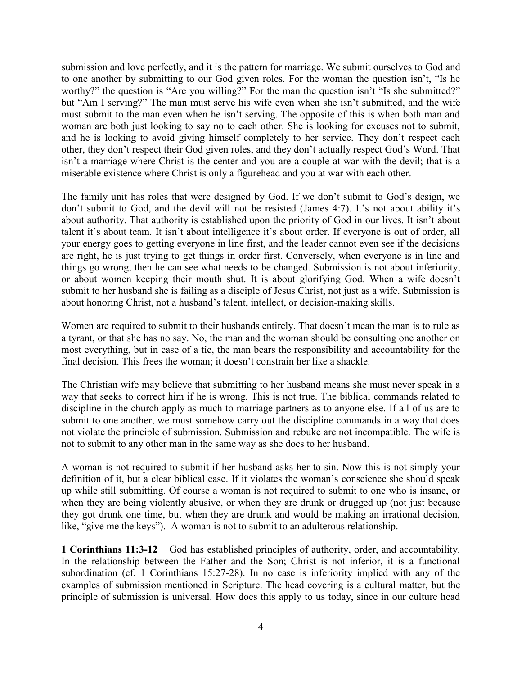submission and love perfectly, and it is the pattern for marriage. We submit ourselves to God and to one another by submitting to our God given roles. For the woman the question isn't, "Is he worthy?" the question is "Are you willing?" For the man the question isn't "Is she submitted?" but "Am I serving?" The man must serve his wife even when she isn't submitted, and the wife must submit to the man even when he isn't serving. The opposite of this is when both man and woman are both just looking to say no to each other. She is looking for excuses not to submit, and he is looking to avoid giving himself completely to her service. They don't respect each other, they don't respect their God given roles, and they don't actually respect God's Word. That isn't a marriage where Christ is the center and you are a couple at war with the devil; that is a miserable existence where Christ is only a figurehead and you at war with each other.

The family unit has roles that were designed by God. If we don't submit to God's design, we don't submit to God, and the devil will not be resisted (James 4:7). It's not about ability it's about authority. That authority is established upon the priority of God in our lives. It isn't about talent it's about team. It isn't about intelligence it's about order. If everyone is out of order, all your energy goes to getting everyone in line first, and the leader cannot even see if the decisions are right, he is just trying to get things in order first. Conversely, when everyone is in line and things go wrong, then he can see what needs to be changed. Submission is not about inferiority, or about women keeping their mouth shut. It is about glorifying God. When a wife doesn't submit to her husband she is failing as a disciple of Jesus Christ, not just as a wife. Submission is about honoring Christ, not a husband's talent, intellect, or decision-making skills.

Women are required to submit to their husbands entirely. That doesn't mean the man is to rule as a tyrant, or that she has no say. No, the man and the woman should be consulting one another on most everything, but in case of a tie, the man bears the responsibility and accountability for the final decision. This frees the woman; it doesn't constrain her like a shackle.

The Christian wife may believe that submitting to her husband means she must never speak in a way that seeks to correct him if he is wrong. This is not true. The biblical commands related to discipline in the church apply as much to marriage partners as to anyone else. If all of us are to submit to one another, we must somehow carry out the discipline commands in a way that does not violate the principle of submission. Submission and rebuke are not incompatible. The wife is not to submit to any other man in the same way as she does to her husband.

A woman is not required to submit if her husband asks her to sin. Now this is not simply your definition of it, but a clear biblical case. If it violates the woman's conscience she should speak up while still submitting. Of course a woman is not required to submit to one who is insane, or when they are being violently abusive, or when they are drunk or drugged up (not just because they got drunk one time, but when they are drunk and would be making an irrational decision, like, "give me the keys"). A woman is not to submit to an adulterous relationship.

**1 Corinthians 11:3-12** – God has established principles of authority, order, and accountability. In the relationship between the Father and the Son; Christ is not inferior, it is a functional subordination (cf. 1 Corinthians 15:27-28). In no case is inferiority implied with any of the examples of submission mentioned in Scripture. The head covering is a cultural matter, but the principle of submission is universal. How does this apply to us today, since in our culture head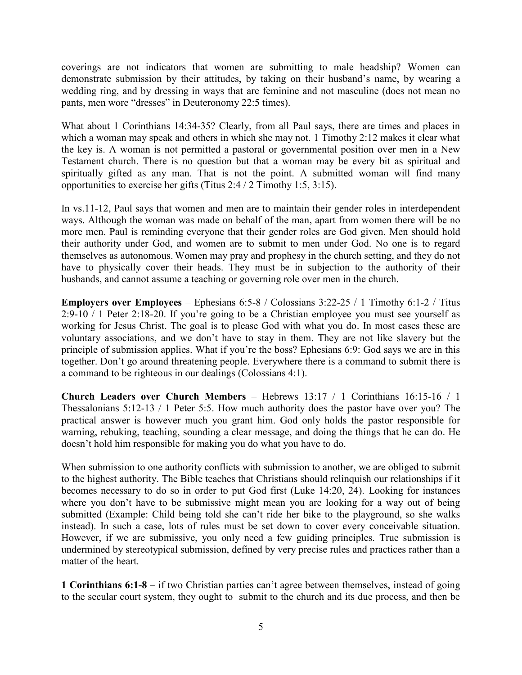coverings are not indicators that women are submitting to male headship? Women can demonstrate submission by their attitudes, by taking on their husband's name, by wearing a wedding ring, and by dressing in ways that are feminine and not masculine (does not mean no pants, men wore "dresses" in Deuteronomy 22:5 times).

What about 1 Corinthians 14:34-35? Clearly, from all Paul says, there are times and places in which a woman may speak and others in which she may not. 1 Timothy 2:12 makes it clear what the key is. A woman is not permitted a pastoral or governmental position over men in a New Testament church. There is no question but that a woman may be every bit as spiritual and spiritually gifted as any man. That is not the point. A submitted woman will find many opportunities to exercise her gifts (Titus 2:4 / 2 Timothy 1:5, 3:15).

In vs.11-12, Paul says that women and men are to maintain their gender roles in interdependent ways. Although the woman was made on behalf of the man, apart from women there will be no more men. Paul is reminding everyone that their gender roles are God given. Men should hold their authority under God, and women are to submit to men under God. No one is to regard themselves as autonomous. Women may pray and prophesy in the church setting, and they do not have to physically cover their heads. They must be in subjection to the authority of their husbands, and cannot assume a teaching or governing role over men in the church.

**Employers over Employees** – Ephesians 6:5-8 / Colossians 3:22-25 / 1 Timothy 6:1-2 / Titus 2:9-10 / 1 Peter 2:18-20. If you're going to be a Christian employee you must see yourself as working for Jesus Christ. The goal is to please God with what you do. In most cases these are voluntary associations, and we don't have to stay in them. They are not like slavery but the principle of submission applies. What if you're the boss? Ephesians 6:9: God says we are in this together. Don't go around threatening people. Everywhere there is a command to submit there is a command to be righteous in our dealings (Colossians 4:1).

**Church Leaders over Church Members** – Hebrews 13:17 / 1 Corinthians 16:15-16 / 1 Thessalonians 5:12-13 / 1 Peter 5:5. How much authority does the pastor have over you? The practical answer is however much you grant him. God only holds the pastor responsible for warning, rebuking, teaching, sounding a clear message, and doing the things that he can do. He doesn't hold him responsible for making you do what you have to do.

When submission to one authority conflicts with submission to another, we are obliged to submit to the highest authority. The Bible teaches that Christians should relinquish our relationships if it becomes necessary to do so in order to put God first (Luke 14:20, 24). Looking for instances where you don't have to be submissive might mean you are looking for a way out of being submitted (Example: Child being told she can't ride her bike to the playground, so she walks instead). In such a case, lots of rules must be set down to cover every conceivable situation. However, if we are submissive, you only need a few guiding principles. True submission is undermined by stereotypical submission, defined by very precise rules and practices rather than a matter of the heart.

**1 Corinthians 6:1-8** – if two Christian parties can't agree between themselves, instead of going to the secular court system, they ought to submit to the church and its due process, and then be